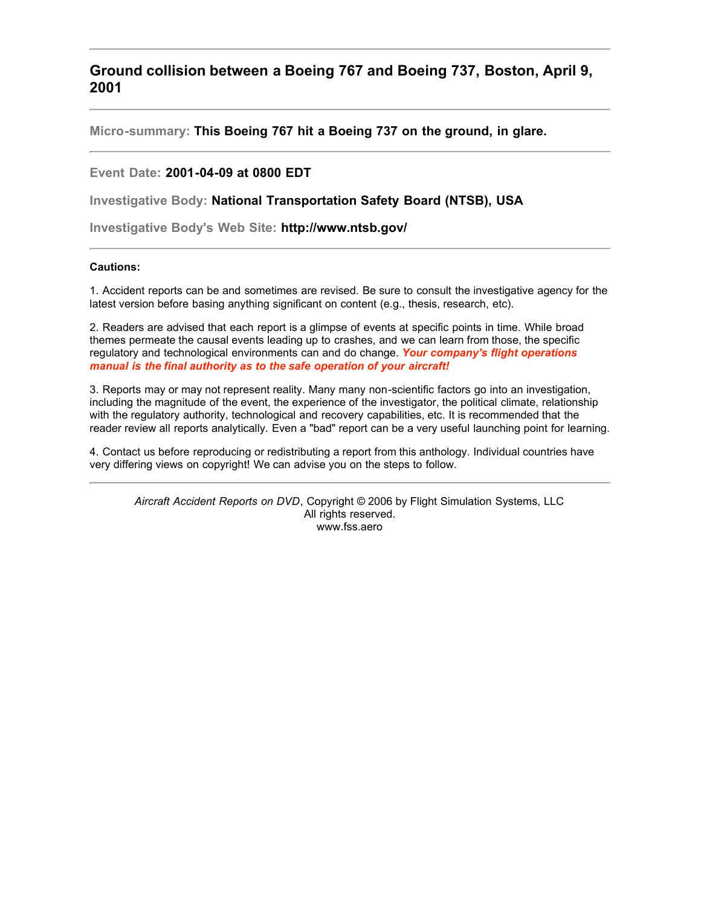**Ground collision between a Boeing 767 and Boeing 737, Boston, April 9, 2001**

**Micro-summary: This Boeing 767 hit a Boeing 737 on the ground, in glare.**

## **Event Date: 2001-04-09 at 0800 EDT**

**Investigative Body: National Transportation Safety Board (NTSB), USA**

**Investigative Body's Web Site: http://www.ntsb.gov/**

## **Cautions:**

1. Accident reports can be and sometimes are revised. Be sure to consult the investigative agency for the latest version before basing anything significant on content (e.g., thesis, research, etc).

2. Readers are advised that each report is a glimpse of events at specific points in time. While broad themes permeate the causal events leading up to crashes, and we can learn from those, the specific regulatory and technological environments can and do change. *Your company's flight operations manual is the final authority as to the safe operation of your aircraft!*

3. Reports may or may not represent reality. Many many non-scientific factors go into an investigation, including the magnitude of the event, the experience of the investigator, the political climate, relationship with the regulatory authority, technological and recovery capabilities, etc. It is recommended that the reader review all reports analytically. Even a "bad" report can be a very useful launching point for learning.

4. Contact us before reproducing or redistributing a report from this anthology. Individual countries have very differing views on copyright! We can advise you on the steps to follow.

*Aircraft Accident Reports on DVD*, Copyright © 2006 by Flight Simulation Systems, LLC All rights reserved. www.fss.aero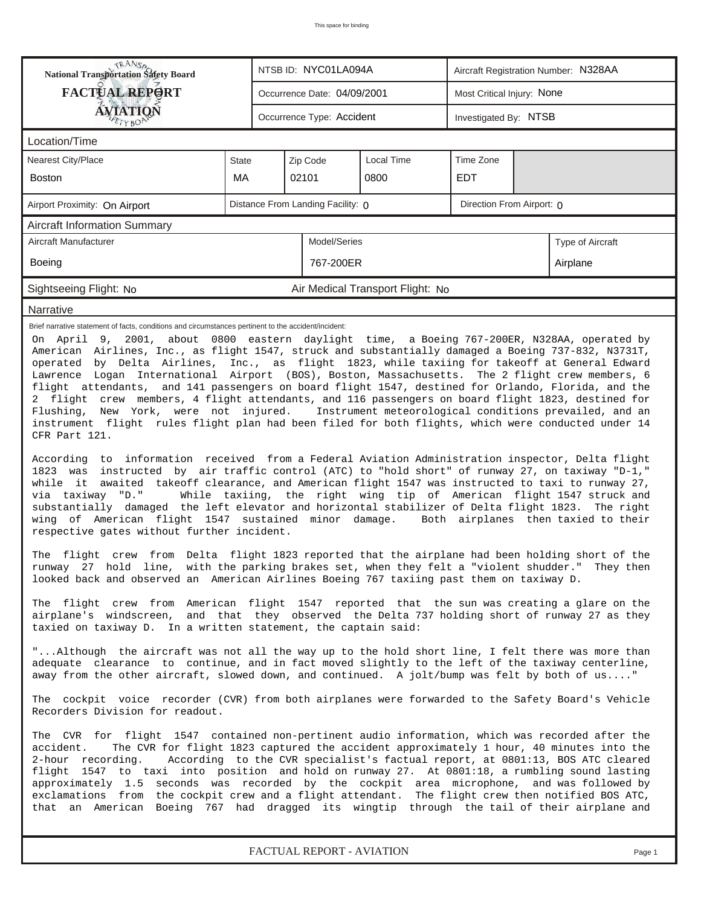| NTSB ID: NYC01LA094A<br>Aircraft Registration Number: N328AA<br><b>FACTUAL REPORT</b><br>Most Critical Injury: None<br>Occurrence Date: 04/09/2001<br><b>ÁVIATION</b><br>Occurrence Type: Accident<br>Investigated By: NTSB<br>ETYBOR<br>Location/Time<br>Nearest City/Place<br>Zip Code<br>Local Time<br>Time Zone<br><b>State</b><br>MA<br>02101<br>0800<br><b>EDT</b><br><b>Boston</b><br>Distance From Landing Facility: 0<br>Direction From Airport: 0<br>Airport Proximity: On Airport<br><b>Aircraft Information Summary</b><br>Aircraft Manufacturer<br>Model/Series<br>Type of Aircraft<br>767-200ER<br>Boeing<br>Airplane<br>Sightseeing Flight: No<br>Air Medical Transport Flight: No<br>Narrative<br>Brief narrative statement of facts, conditions and circumstances pertinent to the accident/incident:<br>On April 9, 2001, about 0800 eastern daylight time, a Boeing 767-200ER, N328AA, operated by<br>American Airlines, Inc., as flight 1547, struck and substantially damaged a Boeing 737-832, N3731T,<br>operated by Delta Airlines, Inc., as flight 1823, while taxiing for takeoff at General Edward<br>Lawrence Logan International Airport (BOS), Boston, Massachusetts. The 2 flight crew members, 6<br>flight attendants, and 141 passengers on board flight 1547, destined for Orlando, Florida, and the<br>2 flight crew members, 4 flight attendants, and 116 passengers on board flight 1823, destined for<br>Flushing, New York, were not injured. Instrument meteorological conditions prevailed, and an<br>instrument flight rules flight plan had been filed for both flights, which were conducted under 14<br>CFR Part 121.<br>According to information received from a Federal Aviation Administration inspector, Delta flight<br>1823 was instructed by air traffic control (ATC) to "hold short" of runway 27, on taxiway "D-1,"<br>while it awaited takeoff clearance, and American flight 1547 was instructed to taxi to runway 27,<br>While taxiing, the right wing tip of American flight 1547 struck and<br>via taxiway "D."<br>substantially damaged the left elevator and horizontal stabilizer of Delta flight 1823. The right<br>wing of American flight 1547 sustained minor damage. Both airplanes then taxied to their<br>respective gates without further incident.<br>The flight crew from Delta flight 1823 reported that the airplane had been holding short of the<br>runway 27 hold line, with the parking brakes set, when they felt a "violent shudder." They then<br>looked back and observed an American Airlines Boeing 767 taxiing past them on taxiway D.<br>The flight crew from American flight 1547 reported that the sun was creating a glare on the<br>airplane's windscreen, and that they observed the Delta 737 holding short of runway 27 as they<br>taxied on taxiway D. In a written statement, the captain said:<br>"Although the aircraft was not all the way up to the hold short line, I felt there was more than<br>adequate clearance to continue, and in fact moved slightly to the left of the taxiway centerline,<br>away from the other aircraft, slowed down, and continued. A jolt/bump was felt by both of us"<br>The cockpit voice recorder (CVR) from both airplanes were forwarded to the Safety Board's Vehicle<br>Recorders Division for readout.<br>The CVR for flight 1547 contained non-pertinent audio information, which was recorded after the<br>accident.<br>The CVR for flight 1823 captured the accident approximately 1 hour, 40 minutes into the<br>2-hour recording.<br>According to the CVR specialist's factual report, at 0801:13, BOS ATC cleared<br>flight 1547 to taxi into position and hold on runway 27. At 0801:18, a rumbling sound lasting<br>approximately 1.5 seconds was recorded by the cockpit area microphone, and was followed by<br>exclamations from the cockpit crew and a flight attendant. The flight crew then notified BOS ATC,<br>that an American Boeing 767 had dragged its wingtip through the tail of their airplane and |                                             |  |  |  |  |  |  |  |  |  |  |
|----------------------------------------------------------------------------------------------------------------------------------------------------------------------------------------------------------------------------------------------------------------------------------------------------------------------------------------------------------------------------------------------------------------------------------------------------------------------------------------------------------------------------------------------------------------------------------------------------------------------------------------------------------------------------------------------------------------------------------------------------------------------------------------------------------------------------------------------------------------------------------------------------------------------------------------------------------------------------------------------------------------------------------------------------------------------------------------------------------------------------------------------------------------------------------------------------------------------------------------------------------------------------------------------------------------------------------------------------------------------------------------------------------------------------------------------------------------------------------------------------------------------------------------------------------------------------------------------------------------------------------------------------------------------------------------------------------------------------------------------------------------------------------------------------------------------------------------------------------------------------------------------------------------------------------------------------------------------------------------------------------------------------------------------------------------------------------------------------------------------------------------------------------------------------------------------------------------------------------------------------------------------------------------------------------------------------------------------------------------------------------------------------------------------------------------------------------------------------------------------------------------------------------------------------------------------------------------------------------------------------------------------------------------------------------------------------------------------------------------------------------------------------------------------------------------------------------------------------------------------------------------------------------------------------------------------------------------------------------------------------------------------------------------------------------------------------------------------------------------------------------------------------------------------------------------------------------------------------------------------------------------------------------------------------------------------------------------------------------------------------------------------------------------------------------------------------------------------------------------------------------------------------------------------------------------------------------------------------------------------------------------------------------------------------------------------------------------------------------------------------------------------------------------------------------------------------------------------------------------------------------------------------------------------------------------------------------------------------------------------------------------------------------------------------------------------|---------------------------------------------|--|--|--|--|--|--|--|--|--|--|
|                                                                                                                                                                                                                                                                                                                                                                                                                                                                                                                                                                                                                                                                                                                                                                                                                                                                                                                                                                                                                                                                                                                                                                                                                                                                                                                                                                                                                                                                                                                                                                                                                                                                                                                                                                                                                                                                                                                                                                                                                                                                                                                                                                                                                                                                                                                                                                                                                                                                                                                                                                                                                                                                                                                                                                                                                                                                                                                                                                                                                                                                                                                                                                                                                                                                                                                                                                                                                                                                                                                                                                                                                                                                                                                                                                                                                                                                                                                                                                                                                                                                      | <b>National Transportation Safety Board</b> |  |  |  |  |  |  |  |  |  |  |
|                                                                                                                                                                                                                                                                                                                                                                                                                                                                                                                                                                                                                                                                                                                                                                                                                                                                                                                                                                                                                                                                                                                                                                                                                                                                                                                                                                                                                                                                                                                                                                                                                                                                                                                                                                                                                                                                                                                                                                                                                                                                                                                                                                                                                                                                                                                                                                                                                                                                                                                                                                                                                                                                                                                                                                                                                                                                                                                                                                                                                                                                                                                                                                                                                                                                                                                                                                                                                                                                                                                                                                                                                                                                                                                                                                                                                                                                                                                                                                                                                                                                      |                                             |  |  |  |  |  |  |  |  |  |  |
|                                                                                                                                                                                                                                                                                                                                                                                                                                                                                                                                                                                                                                                                                                                                                                                                                                                                                                                                                                                                                                                                                                                                                                                                                                                                                                                                                                                                                                                                                                                                                                                                                                                                                                                                                                                                                                                                                                                                                                                                                                                                                                                                                                                                                                                                                                                                                                                                                                                                                                                                                                                                                                                                                                                                                                                                                                                                                                                                                                                                                                                                                                                                                                                                                                                                                                                                                                                                                                                                                                                                                                                                                                                                                                                                                                                                                                                                                                                                                                                                                                                                      |                                             |  |  |  |  |  |  |  |  |  |  |
|                                                                                                                                                                                                                                                                                                                                                                                                                                                                                                                                                                                                                                                                                                                                                                                                                                                                                                                                                                                                                                                                                                                                                                                                                                                                                                                                                                                                                                                                                                                                                                                                                                                                                                                                                                                                                                                                                                                                                                                                                                                                                                                                                                                                                                                                                                                                                                                                                                                                                                                                                                                                                                                                                                                                                                                                                                                                                                                                                                                                                                                                                                                                                                                                                                                                                                                                                                                                                                                                                                                                                                                                                                                                                                                                                                                                                                                                                                                                                                                                                                                                      |                                             |  |  |  |  |  |  |  |  |  |  |
|                                                                                                                                                                                                                                                                                                                                                                                                                                                                                                                                                                                                                                                                                                                                                                                                                                                                                                                                                                                                                                                                                                                                                                                                                                                                                                                                                                                                                                                                                                                                                                                                                                                                                                                                                                                                                                                                                                                                                                                                                                                                                                                                                                                                                                                                                                                                                                                                                                                                                                                                                                                                                                                                                                                                                                                                                                                                                                                                                                                                                                                                                                                                                                                                                                                                                                                                                                                                                                                                                                                                                                                                                                                                                                                                                                                                                                                                                                                                                                                                                                                                      |                                             |  |  |  |  |  |  |  |  |  |  |
|                                                                                                                                                                                                                                                                                                                                                                                                                                                                                                                                                                                                                                                                                                                                                                                                                                                                                                                                                                                                                                                                                                                                                                                                                                                                                                                                                                                                                                                                                                                                                                                                                                                                                                                                                                                                                                                                                                                                                                                                                                                                                                                                                                                                                                                                                                                                                                                                                                                                                                                                                                                                                                                                                                                                                                                                                                                                                                                                                                                                                                                                                                                                                                                                                                                                                                                                                                                                                                                                                                                                                                                                                                                                                                                                                                                                                                                                                                                                                                                                                                                                      |                                             |  |  |  |  |  |  |  |  |  |  |
|                                                                                                                                                                                                                                                                                                                                                                                                                                                                                                                                                                                                                                                                                                                                                                                                                                                                                                                                                                                                                                                                                                                                                                                                                                                                                                                                                                                                                                                                                                                                                                                                                                                                                                                                                                                                                                                                                                                                                                                                                                                                                                                                                                                                                                                                                                                                                                                                                                                                                                                                                                                                                                                                                                                                                                                                                                                                                                                                                                                                                                                                                                                                                                                                                                                                                                                                                                                                                                                                                                                                                                                                                                                                                                                                                                                                                                                                                                                                                                                                                                                                      |                                             |  |  |  |  |  |  |  |  |  |  |
|                                                                                                                                                                                                                                                                                                                                                                                                                                                                                                                                                                                                                                                                                                                                                                                                                                                                                                                                                                                                                                                                                                                                                                                                                                                                                                                                                                                                                                                                                                                                                                                                                                                                                                                                                                                                                                                                                                                                                                                                                                                                                                                                                                                                                                                                                                                                                                                                                                                                                                                                                                                                                                                                                                                                                                                                                                                                                                                                                                                                                                                                                                                                                                                                                                                                                                                                                                                                                                                                                                                                                                                                                                                                                                                                                                                                                                                                                                                                                                                                                                                                      |                                             |  |  |  |  |  |  |  |  |  |  |
|                                                                                                                                                                                                                                                                                                                                                                                                                                                                                                                                                                                                                                                                                                                                                                                                                                                                                                                                                                                                                                                                                                                                                                                                                                                                                                                                                                                                                                                                                                                                                                                                                                                                                                                                                                                                                                                                                                                                                                                                                                                                                                                                                                                                                                                                                                                                                                                                                                                                                                                                                                                                                                                                                                                                                                                                                                                                                                                                                                                                                                                                                                                                                                                                                                                                                                                                                                                                                                                                                                                                                                                                                                                                                                                                                                                                                                                                                                                                                                                                                                                                      |                                             |  |  |  |  |  |  |  |  |  |  |
|                                                                                                                                                                                                                                                                                                                                                                                                                                                                                                                                                                                                                                                                                                                                                                                                                                                                                                                                                                                                                                                                                                                                                                                                                                                                                                                                                                                                                                                                                                                                                                                                                                                                                                                                                                                                                                                                                                                                                                                                                                                                                                                                                                                                                                                                                                                                                                                                                                                                                                                                                                                                                                                                                                                                                                                                                                                                                                                                                                                                                                                                                                                                                                                                                                                                                                                                                                                                                                                                                                                                                                                                                                                                                                                                                                                                                                                                                                                                                                                                                                                                      |                                             |  |  |  |  |  |  |  |  |  |  |
|                                                                                                                                                                                                                                                                                                                                                                                                                                                                                                                                                                                                                                                                                                                                                                                                                                                                                                                                                                                                                                                                                                                                                                                                                                                                                                                                                                                                                                                                                                                                                                                                                                                                                                                                                                                                                                                                                                                                                                                                                                                                                                                                                                                                                                                                                                                                                                                                                                                                                                                                                                                                                                                                                                                                                                                                                                                                                                                                                                                                                                                                                                                                                                                                                                                                                                                                                                                                                                                                                                                                                                                                                                                                                                                                                                                                                                                                                                                                                                                                                                                                      |                                             |  |  |  |  |  |  |  |  |  |  |
|                                                                                                                                                                                                                                                                                                                                                                                                                                                                                                                                                                                                                                                                                                                                                                                                                                                                                                                                                                                                                                                                                                                                                                                                                                                                                                                                                                                                                                                                                                                                                                                                                                                                                                                                                                                                                                                                                                                                                                                                                                                                                                                                                                                                                                                                                                                                                                                                                                                                                                                                                                                                                                                                                                                                                                                                                                                                                                                                                                                                                                                                                                                                                                                                                                                                                                                                                                                                                                                                                                                                                                                                                                                                                                                                                                                                                                                                                                                                                                                                                                                                      |                                             |  |  |  |  |  |  |  |  |  |  |
|                                                                                                                                                                                                                                                                                                                                                                                                                                                                                                                                                                                                                                                                                                                                                                                                                                                                                                                                                                                                                                                                                                                                                                                                                                                                                                                                                                                                                                                                                                                                                                                                                                                                                                                                                                                                                                                                                                                                                                                                                                                                                                                                                                                                                                                                                                                                                                                                                                                                                                                                                                                                                                                                                                                                                                                                                                                                                                                                                                                                                                                                                                                                                                                                                                                                                                                                                                                                                                                                                                                                                                                                                                                                                                                                                                                                                                                                                                                                                                                                                                                                      |                                             |  |  |  |  |  |  |  |  |  |  |
|                                                                                                                                                                                                                                                                                                                                                                                                                                                                                                                                                                                                                                                                                                                                                                                                                                                                                                                                                                                                                                                                                                                                                                                                                                                                                                                                                                                                                                                                                                                                                                                                                                                                                                                                                                                                                                                                                                                                                                                                                                                                                                                                                                                                                                                                                                                                                                                                                                                                                                                                                                                                                                                                                                                                                                                                                                                                                                                                                                                                                                                                                                                                                                                                                                                                                                                                                                                                                                                                                                                                                                                                                                                                                                                                                                                                                                                                                                                                                                                                                                                                      |                                             |  |  |  |  |  |  |  |  |  |  |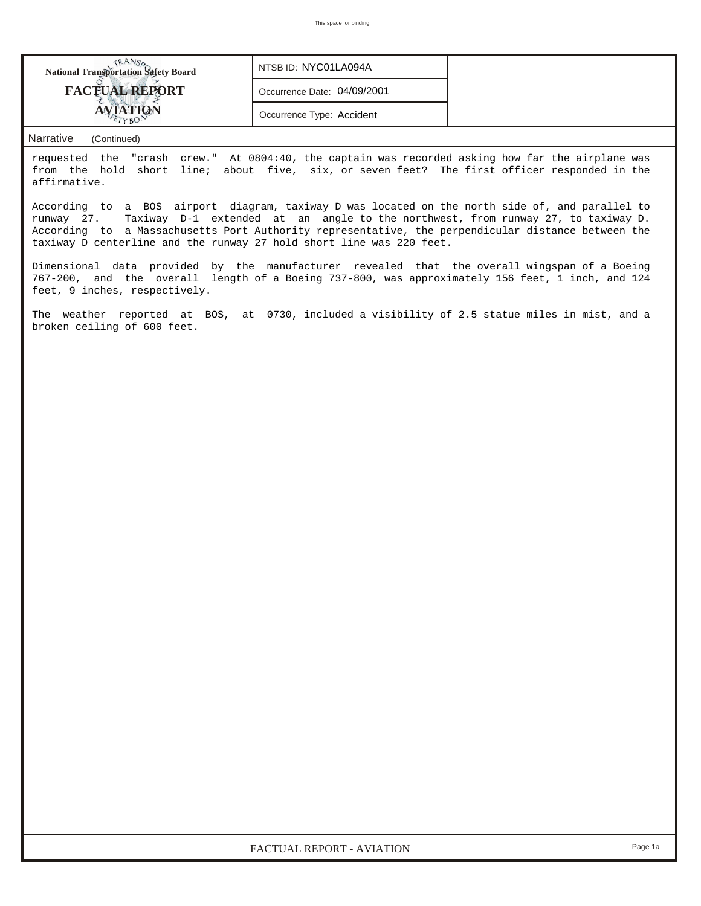| <b>National Transportation Safety Board</b> | NTSB ID: NYC01LA094A        |  |
|---------------------------------------------|-----------------------------|--|
| <b>FACTUAL REPORT</b>                       | Occurrence Date: 04/09/2001 |  |
|                                             | Occurrence Type: Accident   |  |

## *Narrative (Continued)*

requested the "crash crew." At 0804:40, the captain was recorded asking how far the airplane was from the hold short line; about five, six, or seven feet? The first officer responded in the affirmative.

According to a BOS airport diagram, taxiway D was located on the north side of, and parallel to runway 27. Taxiway D-1 extended at an angle to the northwest, from runway 27, to taxiway D. According to a Massachusetts Port Authority representative, the perpendicular distance between the taxiway D centerline and the runway 27 hold short line was 220 feet.

Dimensional data provided by the manufacturer revealed that the overall wingspan of a Boeing 767-200, and the overall length of a Boeing 737-800, was approximately 156 feet, 1 inch, and 124 feet, 9 inches, respectively.

The weather reported at BOS, at 0730, included a visibility of 2.5 statue miles in mist, and a broken ceiling of 600 feet.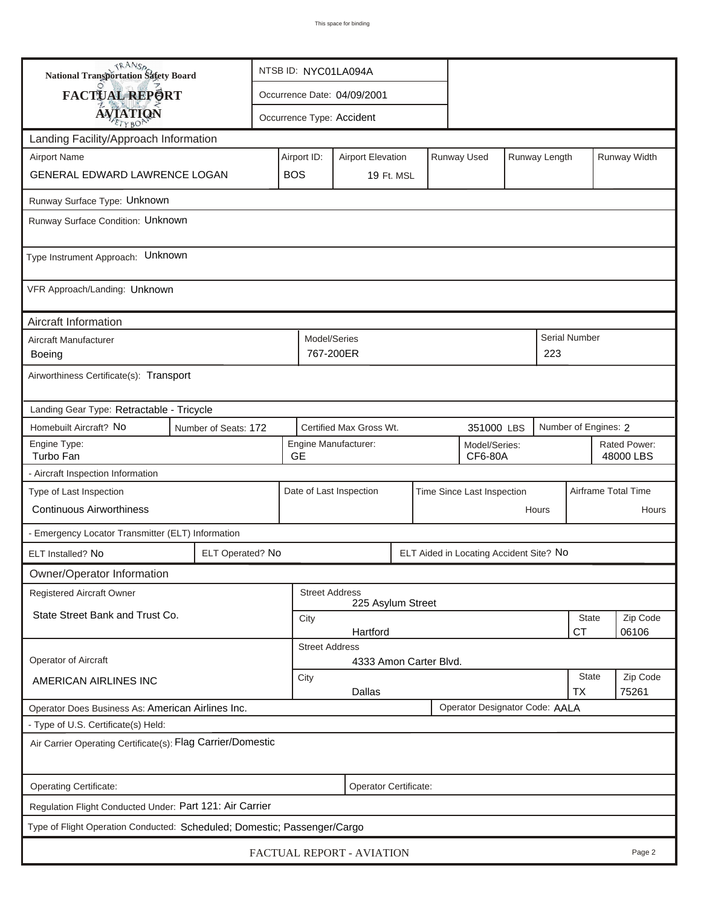| <b>National Transportation Safety Board</b>                                         |                  | NTSB ID: NYC01LA094A                           |                                                       |                           |  |  |                                         |                     |                    |                           |              |  |
|-------------------------------------------------------------------------------------|------------------|------------------------------------------------|-------------------------------------------------------|---------------------------|--|--|-----------------------------------------|---------------------|--------------------|---------------------------|--------------|--|
| FACTUAL REPORT                                                                      |                  | Occurrence Date: 04/09/2001                    |                                                       |                           |  |  |                                         |                     |                    |                           |              |  |
| <b>AVIATION</b>                                                                     |                  |                                                |                                                       | Occurrence Type: Accident |  |  |                                         |                     |                    |                           |              |  |
| Landing Facility/Approach Information                                               |                  |                                                |                                                       |                           |  |  |                                         |                     |                    |                           |              |  |
| <b>Airport Name</b>                                                                 |                  |                                                | Airport ID:                                           | <b>Airport Elevation</b>  |  |  | Runway Used                             |                     | Runway Length      |                           | Runway Width |  |
| GENERAL EDWARD LAWRENCE LOGAN                                                       |                  | <b>BOS</b>                                     |                                                       | 19 Ft. MSL                |  |  |                                         |                     |                    |                           |              |  |
| Runway Surface Type: Unknown                                                        |                  |                                                |                                                       |                           |  |  |                                         |                     |                    |                           |              |  |
| Runway Surface Condition: Unknown                                                   |                  |                                                |                                                       |                           |  |  |                                         |                     |                    |                           |              |  |
| Type Instrument Approach: Unknown                                                   |                  |                                                |                                                       |                           |  |  |                                         |                     |                    |                           |              |  |
| VFR Approach/Landing: Unknown                                                       |                  |                                                |                                                       |                           |  |  |                                         |                     |                    |                           |              |  |
| Aircraft Information                                                                |                  |                                                |                                                       |                           |  |  |                                         |                     |                    |                           |              |  |
| Aircraft Manufacturer<br>Boeing                                                     |                  |                                                | Model/Series                                          | 767-200ER                 |  |  |                                         |                     | 223                | Serial Number             |              |  |
| Airworthiness Certificate(s): Transport                                             |                  |                                                |                                                       |                           |  |  |                                         |                     |                    |                           |              |  |
| Landing Gear Type: Retractable - Tricycle                                           |                  |                                                |                                                       |                           |  |  |                                         |                     |                    |                           |              |  |
| Homebuilt Aircraft? No<br>Number of Seats: 172                                      |                  |                                                |                                                       | Certified Max Gross Wt.   |  |  | 351000 LBS                              |                     |                    | Number of Engines: 2      |              |  |
| Engine Type:<br>Turbo Fan                                                           |                  | <b>GE</b>                                      |                                                       | Engine Manufacturer:      |  |  | Model/Series:<br>CF6-80A                |                     |                    | Rated Power:<br>48000 LBS |              |  |
| - Aircraft Inspection Information                                                   |                  |                                                |                                                       |                           |  |  |                                         |                     |                    |                           |              |  |
| Type of Last Inspection                                                             |                  |                                                | Date of Last Inspection<br>Time Since Last Inspection |                           |  |  |                                         | Airframe Total Time |                    |                           |              |  |
| <b>Continuous Airworthiness</b>                                                     |                  |                                                | Hours                                                 |                           |  |  |                                         |                     |                    | Hours                     |              |  |
| - Emergency Locator Transmitter (ELT) Information                                   |                  |                                                |                                                       |                           |  |  |                                         |                     |                    |                           |              |  |
| ELT Installed? No                                                                   | ELT Operated? No |                                                |                                                       |                           |  |  | ELT Aided in Locating Accident Site? No |                     |                    |                           |              |  |
| Owner/Operator Information                                                          |                  |                                                |                                                       |                           |  |  |                                         |                     |                    |                           |              |  |
| <b>Registered Aircraft Owner</b>                                                    |                  |                                                | <b>Street Address</b><br>225 Asylum Street            |                           |  |  |                                         |                     |                    |                           |              |  |
| State Street Bank and Trust Co.                                                     |                  | City                                           |                                                       |                           |  |  |                                         |                     | State              | Zip Code                  |              |  |
|                                                                                     |                  | Hartford<br><b>CT</b><br><b>Street Address</b> |                                                       |                           |  |  |                                         |                     |                    |                           | 06106        |  |
| <b>Operator of Aircraft</b>                                                         |                  |                                                | 4333 Amon Carter Blvd.                                |                           |  |  |                                         |                     |                    |                           |              |  |
| AMERICAN AIRLINES INC                                                               |                  | City                                           | Dallas                                                |                           |  |  |                                         |                     | <b>State</b><br>ТX | Zip Code<br>75261         |              |  |
| Operator Designator Code: AALA<br>Operator Does Business As: American Airlines Inc. |                  |                                                |                                                       |                           |  |  |                                         |                     |                    |                           |              |  |
| - Type of U.S. Certificate(s) Held:                                                 |                  |                                                |                                                       |                           |  |  |                                         |                     |                    |                           |              |  |
| Air Carrier Operating Certificate(s): Flag Carrier/Domestic                         |                  |                                                |                                                       |                           |  |  |                                         |                     |                    |                           |              |  |
| Operating Certificate:<br>Operator Certificate:                                     |                  |                                                |                                                       |                           |  |  |                                         |                     |                    |                           |              |  |
| Regulation Flight Conducted Under: Part 121: Air Carrier                            |                  |                                                |                                                       |                           |  |  |                                         |                     |                    |                           |              |  |
| Type of Flight Operation Conducted: Scheduled; Domestic; Passenger/Cargo            |                  |                                                |                                                       |                           |  |  |                                         |                     |                    |                           |              |  |
| FACTUAL REPORT - AVIATION<br>Page 2                                                 |                  |                                                |                                                       |                           |  |  |                                         |                     |                    |                           |              |  |

ų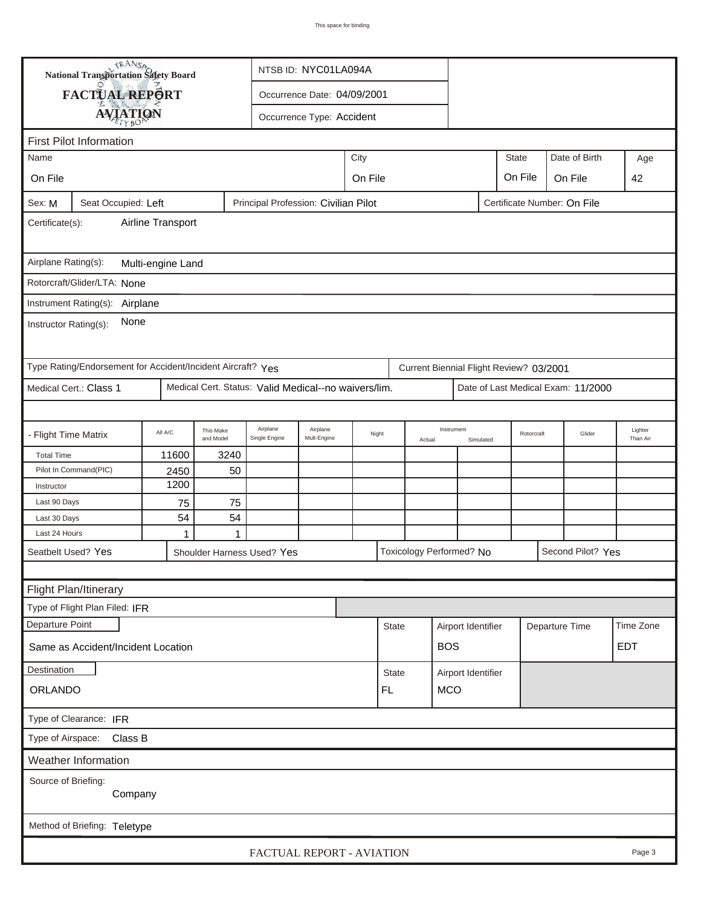| <b>National Transportation Safety Board</b><br>NTSB ID: NYC01LA094A                                  |                                                             |                   |                        |                                                      |                             |         |                                    |        |                          |                         |                                         |               |                                    |                     |
|------------------------------------------------------------------------------------------------------|-------------------------------------------------------------|-------------------|------------------------|------------------------------------------------------|-----------------------------|---------|------------------------------------|--------|--------------------------|-------------------------|-----------------------------------------|---------------|------------------------------------|---------------------|
|                                                                                                      | FACTUAL REPORT                                              |                   |                        |                                                      | Occurrence Date: 04/09/2001 |         |                                    |        |                          |                         |                                         |               |                                    |                     |
|                                                                                                      |                                                             |                   |                        |                                                      |                             |         |                                    |        |                          |                         |                                         |               |                                    |                     |
| <b>AVIATION</b><br>Occurrence Type: Accident                                                         |                                                             |                   |                        |                                                      |                             |         |                                    |        |                          |                         |                                         |               |                                    |                     |
|                                                                                                      | <b>First Pilot Information</b>                              |                   |                        |                                                      |                             |         |                                    |        |                          |                         |                                         |               |                                    |                     |
| City<br>Name                                                                                         |                                                             |                   |                        |                                                      |                             |         |                                    |        |                          | <b>State</b>            |                                         | Date of Birth | Age                                |                     |
| On File                                                                                              |                                                             |                   |                        |                                                      |                             | On File |                                    |        |                          |                         | On File                                 |               | On File                            | 42                  |
| Principal Profession: Civilian Pilot<br>Seat Occupied: Left<br>Certificate Number: On File<br>Sex: M |                                                             |                   |                        |                                                      |                             |         |                                    |        |                          |                         |                                         |               |                                    |                     |
| Airline Transport<br>Certificate(s):                                                                 |                                                             |                   |                        |                                                      |                             |         |                                    |        |                          |                         |                                         |               |                                    |                     |
| Airplane Rating(s):                                                                                  |                                                             | Multi-engine Land |                        |                                                      |                             |         |                                    |        |                          |                         |                                         |               |                                    |                     |
|                                                                                                      | Rotorcraft/Glider/LTA: None                                 |                   |                        |                                                      |                             |         |                                    |        |                          |                         |                                         |               |                                    |                     |
|                                                                                                      | Instrument Rating(s): Airplane                              |                   |                        |                                                      |                             |         |                                    |        |                          |                         |                                         |               |                                    |                     |
| Instructor Rating(s):                                                                                | None                                                        |                   |                        |                                                      |                             |         |                                    |        |                          |                         |                                         |               |                                    |                     |
|                                                                                                      | Type Rating/Endorsement for Accident/Incident Aircraft? Yes |                   |                        |                                                      |                             |         |                                    |        |                          |                         | Current Biennial Flight Review? 03/2001 |               |                                    |                     |
|                                                                                                      | Medical Cert.: Class 1                                      |                   |                        | Medical Cert. Status: Valid Medical--no waivers/lim. |                             |         |                                    |        |                          |                         |                                         |               | Date of Last Medical Exam: 11/2000 |                     |
|                                                                                                      |                                                             |                   |                        |                                                      |                             |         |                                    |        |                          |                         |                                         |               |                                    |                     |
| - Flight Time Matrix                                                                                 |                                                             | All A/C           | This Make<br>and Model | Airplane<br>Single Engine                            | Airplane<br>Mult-Engine     | Night   |                                    | Actual | Instrument               | Rotorcraft<br>Simulated |                                         |               | Glider                             | Lighter<br>Than Air |
| <b>Total Time</b>                                                                                    |                                                             | 11600             | 3240                   |                                                      |                             |         |                                    |        |                          |                         |                                         |               |                                    |                     |
|                                                                                                      | Pilot In Command(PIC)                                       | 2450              | 50                     |                                                      |                             |         |                                    |        |                          |                         |                                         |               |                                    |                     |
| Instructor                                                                                           |                                                             | 1200              |                        |                                                      |                             |         |                                    |        |                          |                         |                                         |               |                                    |                     |
| Last 90 Days                                                                                         |                                                             | 75                | 75                     |                                                      |                             |         |                                    |        |                          |                         |                                         |               |                                    |                     |
| Last 30 Days                                                                                         |                                                             | 54                | 54                     |                                                      |                             |         |                                    |        |                          |                         |                                         |               |                                    |                     |
| Last 24 Hours                                                                                        |                                                             | 1                 | 1                      |                                                      |                             |         |                                    |        |                          |                         |                                         |               |                                    |                     |
|                                                                                                      | Seatbelt Used? Yes                                          |                   |                        | Shoulder Harness Used? Yes                           |                             |         |                                    |        | Toxicology Performed? No |                         |                                         |               | Second Pilot? Yes                  |                     |
|                                                                                                      |                                                             |                   |                        |                                                      |                             |         |                                    |        |                          |                         |                                         |               |                                    |                     |
|                                                                                                      | Flight Plan/Itinerary                                       |                   |                        |                                                      |                             |         |                                    |        |                          |                         |                                         |               |                                    |                     |
|                                                                                                      | Type of Flight Plan Filed: IFR                              |                   |                        |                                                      |                             |         |                                    |        |                          |                         |                                         |               |                                    |                     |
| Departure Point                                                                                      |                                                             |                   |                        |                                                      |                             |         | <b>State</b>                       |        | Airport Identifier       |                         |                                         |               | Departure Time                     | Time Zone           |
|                                                                                                      | Same as Accident/Incident Location                          |                   |                        |                                                      |                             |         |                                    |        | <b>BOS</b>               |                         |                                         |               |                                    | <b>EDT</b>          |
| Destination                                                                                          |                                                             |                   |                        |                                                      |                             |         | <b>State</b><br>Airport Identifier |        |                          |                         |                                         |               |                                    |                     |
| <b>ORLANDO</b>                                                                                       |                                                             |                   |                        |                                                      |                             |         | FL<br><b>MCO</b>                   |        |                          |                         |                                         |               |                                    |                     |
| Type of Clearance: IFR                                                                               |                                                             |                   |                        |                                                      |                             |         |                                    |        |                          |                         |                                         |               |                                    |                     |
| Type of Airspace: Class B                                                                            |                                                             |                   |                        |                                                      |                             |         |                                    |        |                          |                         |                                         |               |                                    |                     |
|                                                                                                      | Weather Information                                         |                   |                        |                                                      |                             |         |                                    |        |                          |                         |                                         |               |                                    |                     |
| Source of Briefing:<br>Company                                                                       |                                                             |                   |                        |                                                      |                             |         |                                    |        |                          |                         |                                         |               |                                    |                     |
|                                                                                                      | Method of Briefing: Teletype                                |                   |                        |                                                      |                             |         |                                    |        |                          |                         |                                         |               |                                    |                     |
|                                                                                                      |                                                             |                   |                        | FACTUAL REPORT - AVIATION                            |                             |         |                                    |        |                          |                         |                                         |               |                                    | Page 3              |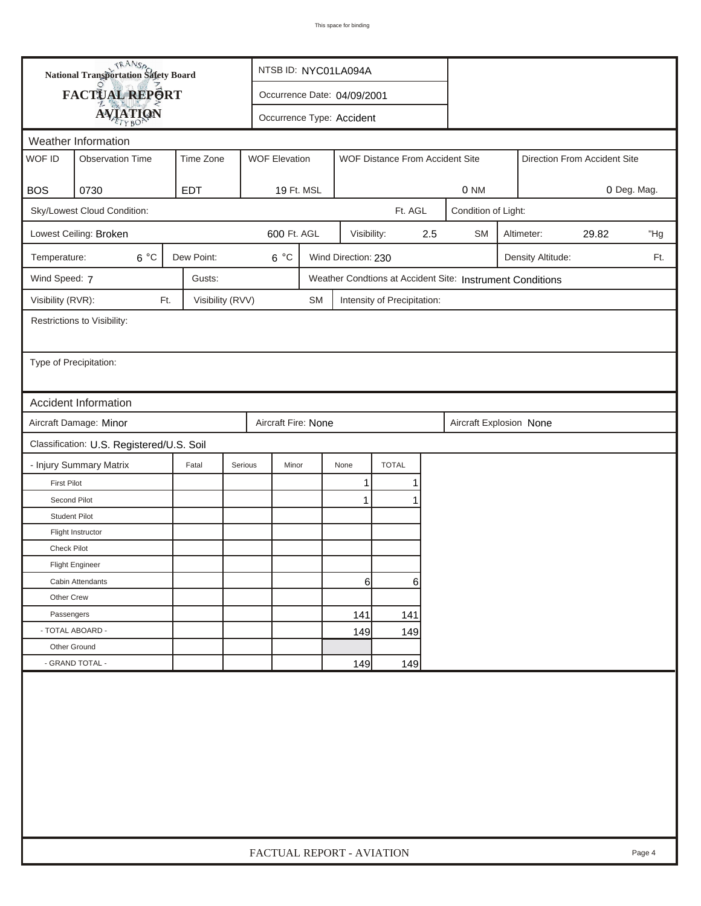| <b>National Transportation Safety Board</b> |                                           | NTSB ID: NYC01LA094A |                      |                           |                             |                                 |     |                                                           |  |                   |                              |             |
|---------------------------------------------|-------------------------------------------|----------------------|----------------------|---------------------------|-----------------------------|---------------------------------|-----|-----------------------------------------------------------|--|-------------------|------------------------------|-------------|
| <b>FACTUAL REPORT</b>                       |                                           |                      |                      |                           | Occurrence Date: 04/09/2001 |                                 |     |                                                           |  |                   |                              |             |
|                                             | <b>AVIATION</b>                           |                      |                      | Occurrence Type: Accident |                             |                                 |     |                                                           |  |                   |                              |             |
| Weather Information                         |                                           |                      |                      |                           |                             |                                 |     |                                                           |  |                   |                              |             |
| WOF ID                                      | <b>Observation Time</b>                   | Time Zone            | <b>WOF Elevation</b> |                           |                             | WOF Distance From Accident Site |     |                                                           |  |                   | Direction From Accident Site |             |
|                                             |                                           |                      |                      |                           |                             |                                 |     |                                                           |  |                   |                              |             |
| <b>BOS</b>                                  | 0730                                      | <b>EDT</b>           | 19 Ft. MSL           |                           |                             |                                 |     | 0 NM                                                      |  |                   |                              | 0 Deg. Mag. |
|                                             | Sky/Lowest Cloud Condition:               |                      |                      |                           |                             | Ft. AGL                         |     | Condition of Light:                                       |  |                   |                              |             |
|                                             | Lowest Ceiling: Broken                    |                      | 600 Ft. AGL          |                           | Visibility:                 |                                 | 2.5 | <b>SM</b>                                                 |  | Altimeter:        | 29.82                        | "Hg         |
| Temperature:                                | $6^{\circ}$ C                             | Dew Point:           | $6^{\circ}$ C        |                           | Wind Direction: 230         |                                 |     |                                                           |  | Density Altitude: |                              | Ft.         |
| Wind Speed: 7                               |                                           | Gusts:               |                      |                           |                             |                                 |     | Weather Condtions at Accident Site: Instrument Conditions |  |                   |                              |             |
| Visibility (RVR):                           | Ft.                                       | Visibility (RVV)     |                      | <b>SM</b>                 |                             | Intensity of Precipitation:     |     |                                                           |  |                   |                              |             |
|                                             | Restrictions to Visibility:               |                      |                      |                           |                             |                                 |     |                                                           |  |                   |                              |             |
|                                             |                                           |                      |                      |                           |                             |                                 |     |                                                           |  |                   |                              |             |
| Type of Precipitation:                      |                                           |                      |                      |                           |                             |                                 |     |                                                           |  |                   |                              |             |
|                                             |                                           |                      |                      |                           |                             |                                 |     |                                                           |  |                   |                              |             |
|                                             | <b>Accident Information</b>               |                      |                      |                           |                             |                                 |     |                                                           |  |                   |                              |             |
|                                             | Aircraft Damage: Minor                    |                      | Aircraft Fire: None  |                           |                             |                                 |     | Aircraft Explosion None                                   |  |                   |                              |             |
|                                             | Classification: U.S. Registered/U.S. Soil |                      |                      |                           |                             |                                 |     |                                                           |  |                   |                              |             |
|                                             | - Injury Summary Matrix                   | Fatal                | Serious<br>Minor     |                           | None                        | <b>TOTAL</b>                    |     |                                                           |  |                   |                              |             |
| <b>First Pilot</b>                          |                                           |                      |                      |                           | $\mathbf{1}$                | 1                               |     |                                                           |  |                   |                              |             |
| Second Pilot                                |                                           |                      |                      |                           | 1                           |                                 |     |                                                           |  |                   |                              |             |
| <b>Student Pilot</b>                        |                                           |                      |                      |                           |                             |                                 |     |                                                           |  |                   |                              |             |
|                                             | Flight Instructor                         |                      |                      |                           |                             |                                 |     |                                                           |  |                   |                              |             |
| Check Pilot                                 |                                           |                      |                      |                           |                             |                                 |     |                                                           |  |                   |                              |             |
|                                             | <b>Flight Engineer</b>                    |                      |                      |                           |                             |                                 |     |                                                           |  |                   |                              |             |
|                                             | Cabin Attendants                          |                      |                      |                           | 61                          | 6                               |     |                                                           |  |                   |                              |             |
| Other Crew                                  |                                           |                      |                      |                           |                             |                                 |     |                                                           |  |                   |                              |             |
| Passengers                                  |                                           |                      |                      |                           | 141                         | 141                             |     |                                                           |  |                   |                              |             |
| - TOTAL ABOARD -                            |                                           |                      |                      |                           | 149                         | 149                             |     |                                                           |  |                   |                              |             |
| Other Ground                                |                                           |                      |                      |                           |                             |                                 |     |                                                           |  |                   |                              |             |
|                                             | - GRAND TOTAL -                           |                      |                      |                           | 149                         | 149                             |     |                                                           |  |                   |                              |             |
|                                             |                                           |                      |                      |                           |                             |                                 |     |                                                           |  |                   |                              |             |
| FACTUAL REPORT - AVIATION<br>Page 4         |                                           |                      |                      |                           |                             |                                 |     |                                                           |  |                   |                              |             |